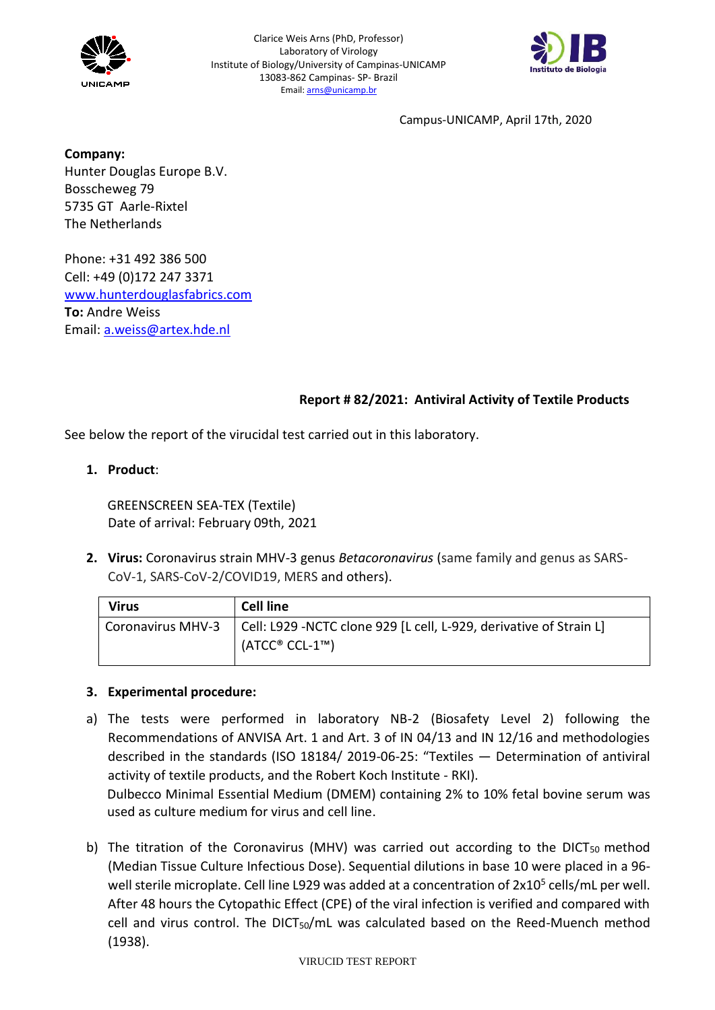



**Company:** Hunter Douglas Europe B.V. Bosscheweg 79 5735 GT Aarle-Rixtel The Netherlands

Phone: +31 492 386 500 Cell: +49 (0)172 247 3371 [www.hunterdouglasfabrics.com](http://www.hunterdouglasfabrics.com/) **To:** Andre Weiss Email: [a.weiss@artex.hde.nl](mailto:a.weiss@artex.hde.nl)

# **Report # 82/2021: Antiviral Activity of Textile Products**

See below the report of the virucidal test carried out in this laboratory.

# **1. Product**:

GREENSCREEN SEA-TEX (Textile) Date of arrival: February 09th, 2021

**2. Virus:** Coronavirus strain MHV-3 genus *Betacoronavirus* (same family and genus as SARS-CoV-1, SARS-CoV-2/COVID19, MERS and others).

| <b>Virus</b>             | <b>Cell line</b>                                                                       |
|--------------------------|----------------------------------------------------------------------------------------|
| <b>Coronavirus MHV-3</b> | Cell: L929 -NCTC clone 929 [L cell, L-929, derivative of Strain L]<br>$(ATCC® CCL-1™)$ |

# **3. Experimental procedure:**

a) The tests were performed in laboratory NB-2 (Biosafety Level 2) following the Recommendations of ANVISA Art. 1 and Art. 3 of IN 04/13 and IN 12/16 and methodologies described in the standards (ISO 18184/ 2019-06-25: "Textiles — Determination of antiviral activity of textile products, and the Robert Koch Institute - RKI). Dulbecco Minimal Essential Medium (DMEM) containing 2% to 10% fetal bovine serum was

used as culture medium for virus and cell line.

b) The titration of the Coronavirus (MHV) was carried out according to the DICT<sub>50</sub> method (Median Tissue Culture Infectious Dose). Sequential dilutions in base 10 were placed in a 96 well sterile microplate. Cell line L929 was added at a concentration of 2x10<sup>5</sup> cells/mL per well. After 48 hours the Cytopathic Effect (CPE) of the viral infection is verified and compared with cell and virus control. The DICT<sub>50</sub>/mL was calculated based on the Reed-Muench method (1938).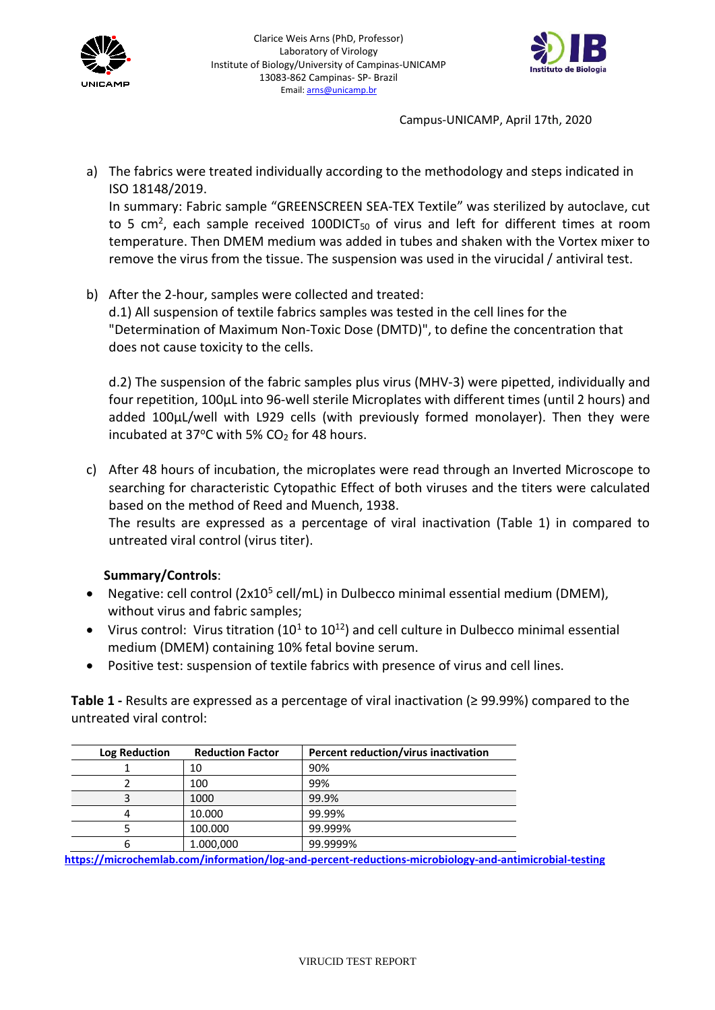



a) The fabrics were treated individually according to the methodology and steps indicated in ISO 18148/2019.

In summary: Fabric sample "GREENSCREEN SEA-TEX Textile" was sterilized by autoclave, cut to 5 cm<sup>2</sup>, each sample received 100DICT<sub>50</sub> of virus and left for different times at room temperature. Then DMEM medium was added in tubes and shaken with the Vortex mixer to remove the virus from the tissue. The suspension was used in the virucidal / antiviral test.

b) After the 2-hour, samples were collected and treated:

d.1) All suspension of textile fabrics samples was tested in the cell lines for the "Determination of Maximum Non-Toxic Dose (DMTD)", to define the concentration that does not cause toxicity to the cells.

d.2) The suspension of the fabric samples plus virus (MHV-3) were pipetted, individually and four repetition, 100µL into 96-well sterile Microplates with different times (until 2 hours) and added 100µL/well with L929 cells (with previously formed monolayer). Then they were incubated at 37 $\degree$ C with 5% CO<sub>2</sub> for 48 hours.

c) After 48 hours of incubation, the microplates were read through an Inverted Microscope to searching for characteristic Cytopathic Effect of both viruses and the titers were calculated based on the method of Reed and Muench, 1938.

The results are expressed as a percentage of viral inactivation (Table 1) in compared to untreated viral control (virus titer).

# **Summary/Controls**:

- Negative: cell control (2x10<sup>5</sup> cell/mL) in Dulbecco minimal essential medium (DMEM), without virus and fabric samples;
- Virus control: Virus titration (10<sup>1</sup> to 10<sup>12</sup>) and cell culture in Dulbecco minimal essential medium (DMEM) containing 10% fetal bovine serum.
- Positive test: suspension of textile fabrics with presence of virus and cell lines.

**Table 1 -** Results are expressed as a percentage of viral inactivation (≥ 99.99%) compared to the untreated viral control:

| <b>Log Reduction</b> | <b>Reduction Factor</b> | Percent reduction/virus inactivation |  |
|----------------------|-------------------------|--------------------------------------|--|
|                      | 10                      | 90%                                  |  |
|                      | 100                     | 99%                                  |  |
|                      | 1000                    | 99.9%                                |  |
|                      | 10.000                  | 99.99%                               |  |
|                      | 100.000                 | 99.999%                              |  |
|                      | 1.000,000               | 99.9999%                             |  |

**<https://microchemlab.com/information/log-and-percent-reductions-microbiology-and-antimicrobial-testing>**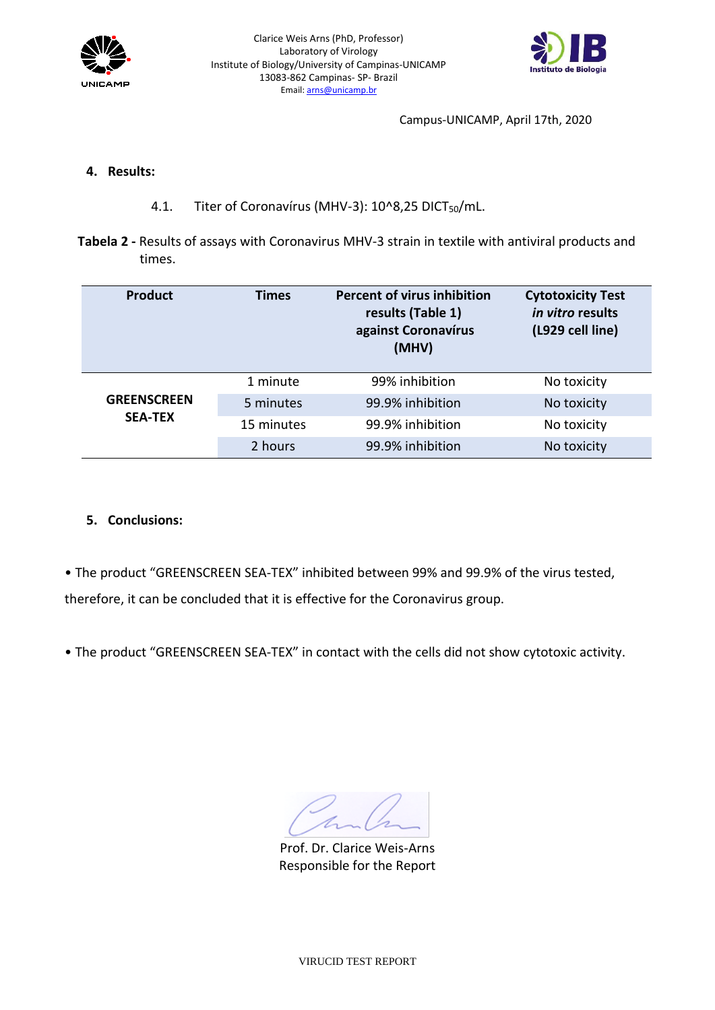



### **4. Results:**

- 4.1. Titer of Coronavírus (MHV-3): 10^8,25 DICT<sub>50</sub>/mL.
- **Tabela 2 -** Results of assays with Coronavirus MHV-3 strain in textile with antiviral products and times.

| <b>Product</b>                       | Times      | <b>Percent of virus inhibition</b><br>results (Table 1)<br>against Coronavírus<br>(MHV) | <b>Cytotoxicity Test</b><br>in vitro results<br>(L929 cell line) |
|--------------------------------------|------------|-----------------------------------------------------------------------------------------|------------------------------------------------------------------|
| <b>GREENSCREEN</b><br><b>SEA-TEX</b> | 1 minute   | 99% inhibition                                                                          | No toxicity                                                      |
|                                      | 5 minutes  | 99.9% inhibition                                                                        | No toxicity                                                      |
|                                      | 15 minutes | 99.9% inhibition                                                                        | No toxicity                                                      |
|                                      | 2 hours    | 99.9% inhibition                                                                        | No toxicity                                                      |

# **5. Conclusions:**

• The product "GREENSCREEN SEA-TEX" inhibited between 99% and 99.9% of the virus tested, therefore, it can be concluded that it is effective for the Coronavirus group.

• The product "GREENSCREEN SEA-TEX" in contact with the cells did not show cytotoxic activity.

Prof. Dr. Clarice Weis-Arns Responsible for the Report